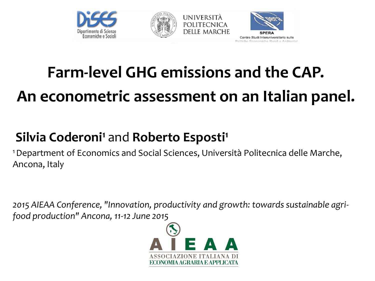





## **Farm-level GHG emissions and the CAP. An econometric assessment on an Italian panel.**

#### **Silvia Coderoni<sup>1</sup>** and **Roberto Esposti<sup>1</sup>**

<sup>1</sup>Department of Economics and Social Sciences, Università Politecnica delle Marche, Ancona, Italy

*2015 AIEAA Conference, "Innovation, productivity and growth: towards sustainable agrifood production" Ancona, 11-12 June 2015* 

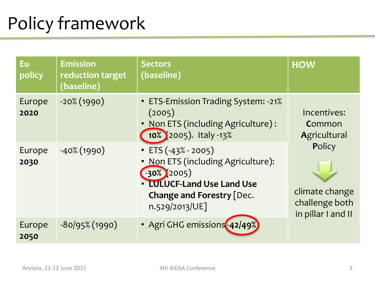# Policy framework

| Eu<br>policy   | <b>Emission</b><br>reduction target<br>(baseline) | <b>Sectors</b><br>(baseline)                                                                                                                                                     | <b>HOW</b>                                                       |
|----------------|---------------------------------------------------|----------------------------------------------------------------------------------------------------------------------------------------------------------------------------------|------------------------------------------------------------------|
| Europe<br>2020 | $-20\%$ (1990)                                    | • ETS-Emission Trading System: -21%<br>(2005)<br>• Non ETS (including Agriculture):<br>10% (2005). Italy -13%                                                                    | Incentives:<br>Common<br>Agricultural                            |
| Europe<br>2030 | $-40\%$ (1990)                                    | $\cdot$ ETS (-43% - 2005)<br>Non ETS (including Agriculture):<br>$\bullet$<br>$-30\%$ (2005)<br>• LULUCF-Land Use Land Use<br><b>Change and Forestry [Dec.</b><br>n.529/2013/UE] | Policy<br>climate change<br>challenge both<br>in pillar I and II |
| Europe<br>2050 | $-80/95\%$ (1990)                                 | • Agri GHG emissions - 42/49%                                                                                                                                                    |                                                                  |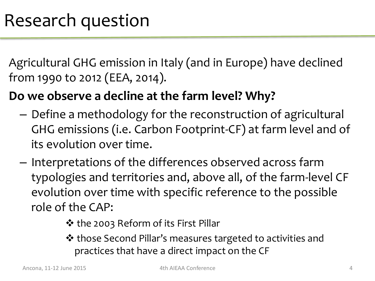Agricultural GHG emission in Italy (and in Europe) have declined from 1990 to 2012 (EEA, 2014).

#### **Do we observe a decline at the farm level? Why?**

- Define a methodology for the reconstruction of agricultural GHG emissions (i.e. Carbon Footprint-CF) at farm level and of its evolution over time.
- Interpretations of the differences observed across farm typologies and territories and, above all, of the farm-level CF evolution over time with specific reference to the possible role of the CAP:
	- ❖ the 2003 Reform of its First Pillar
	- those Second Pillar's measures targeted to activities and practices that have a direct impact on the CF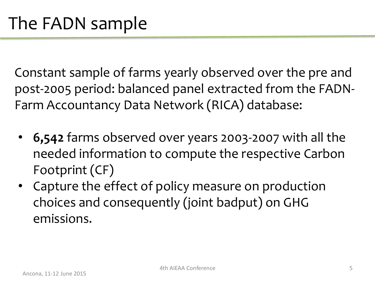Constant sample of farms yearly observed over the pre and post-2005 period: balanced panel extracted from the FADN-Farm Accountancy Data Network (RICA) database:

- **6,542** farms observed over years 2003-2007 with all the needed information to compute the respective Carbon Footprint (CF)
- Capture the effect of policy measure on production choices and consequently (joint badput) on GHG emissions.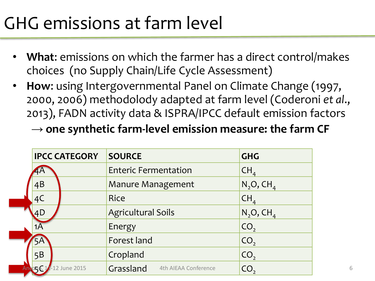# GHG emissions at farm level

- **What**: emissions on which the farmer has a direct control/makes choices (no Supply Chain/Life Cycle Assessment)
- **How**: using Intergovernmental Panel on Climate Change (1997, 2000, 2006) methodolody adapted at farm level (Coderoni *et al*., 2013), FADN activity data & ISPRA/IPCC default emission factors → **one synthetic farm-level emission measure: the farm CF**

| <b>IPCC CATEGORY</b>    | <b>SOURCE</b>                     | <b>GHG</b>               |
|-------------------------|-----------------------------------|--------------------------|
| 4A                      | <b>Enteric Fermentation</b>       | CH <sub>4</sub>          |
| 4B                      | <b>Manure Management</b>          | $N_2O$ , CH <sub>4</sub> |
| 4C                      | <b>Rice</b>                       | CH <sub>4</sub>          |
| 4D                      | <b>Agricultural Soils</b>         | $N_2O$ , CH <sub>4</sub> |
| 1Α                      | Energy                            | CO <sub>2</sub>          |
| 5A                      | Forest land                       | CO <sub>2</sub>          |
| 5B                      | Cropland                          | CO <sub>2</sub>          |
| Ancog & 11-12 June 2015 | Grassland<br>4th AIEAA Conference | CO <sub>2</sub>          |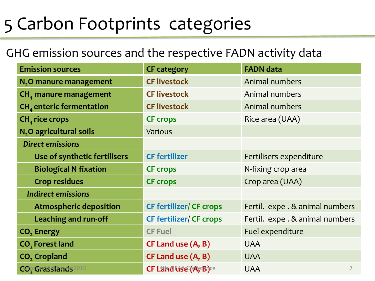#### 5 Carbon Footprints categories

#### GHG emission sources and the respective FADN activity data

| <b>Emission sources</b>                                | <b>CF category</b>             | <b>FADN data</b>                |  |
|--------------------------------------------------------|--------------------------------|---------------------------------|--|
| N <sub>2</sub> O manure management                     | <b>CF livestock</b>            | Animal numbers                  |  |
| $CHa$ manure management                                | <b>CF livestock</b>            | Animal numbers                  |  |
| $CHa$ enteric fermentation                             | <b>CF livestock</b>            | Animal numbers                  |  |
| $CHa$ rice crops                                       | <b>CF crops</b>                | Rice area (UAA)                 |  |
| N <sub>2</sub> O agricultural soils                    | <b>Various</b>                 |                                 |  |
| <b>Direct emissions</b>                                |                                |                                 |  |
| Use of synthetic fertilisers                           | <b>CF fertilizer</b>           | Fertilisers expenditure         |  |
| <b>Biological N fixation</b>                           | <b>CF crops</b>                | N-fixing crop area              |  |
| <b>Crop residues</b>                                   | <b>CF crops</b>                | Crop area (UAA)                 |  |
| <b>Indirect emissions</b>                              |                                |                                 |  |
| <b>Atmospheric deposition</b>                          | <b>CF fertilizer/ CF crops</b> | Fertil. expe . & animal numbers |  |
| Leaching and run-off<br><b>CF fertilizer/ CF crops</b> |                                | Fertil. expe . & animal numbers |  |
| CO <sub>2</sub> Energy                                 | <b>CF Fuel</b>                 | Fuel expenditure                |  |
| CO <sub>2</sub> Forest land                            | <b>CF Land use (A, B)</b>      | <b>UAA</b>                      |  |
| CO <sub>2</sub> Cropland                               | CF Land use (A, B)             | <b>UAA</b>                      |  |
| <b>CO</b> çOrasslands<br>015                           | CF Land Lise (AfriBi)ce        | $\overline{7}$<br><b>UAA</b>    |  |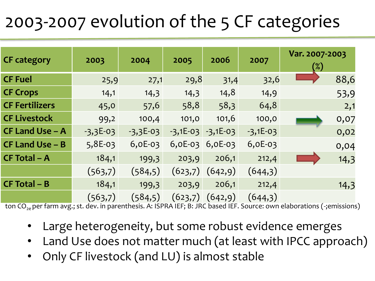## 2003-2007 evolution of the 5 CF categories

|                       |            |            |                       |           |            | Var. 2007-2003 |      |
|-----------------------|------------|------------|-----------------------|-----------|------------|----------------|------|
| <b>CF</b> category    | 2003       | 2004       | 2005                  | 2006      | 2007       | $(\%)$         |      |
| <b>CF Fuel</b>        | 25,9       | 27,1       | 29,8                  | 31,4      | 32,6       |                | 88,6 |
| <b>CF Crops</b>       | 14,1       | 14,3       | 14,3                  | 14,8      | 14,9       |                | 53,9 |
| <b>CF Fertilizers</b> | 45,0       | 57,6       | 58,8                  | 58,3      | 64,8       |                | 2,1  |
| <b>CF Livestock</b>   | 99,2       | 100,4      | 101,0                 | 101,6     | 100,0      |                | 0,07 |
| CF Land Use - A       | $-3,3E-03$ | $-3,3E-03$ | $-3,1E-03$ $-3,1E-03$ |           | $-3,1E-03$ |                | 0,02 |
| $CF$ Land Use – B     | $5,8E-03$  | $6,0E-03$  | $6,0E-03$             | $6,0E-03$ | $6,0E-03$  |                | 0,04 |
| <b>CF Total - A</b>   | 184,1      | 199,3      | 203,9                 | 206,1     | 212,4      |                | 14,3 |
|                       | (563,7)    | (584,5)    | (623,7)               | (642, 9)  | (644,3)    |                |      |
| $CF Total - B$        | 184,1      | 199,3      | 203,9                 | 206,1     | 212,4      |                | 14,3 |
|                       | (563,7)    | (584, 5)   | (623,7)               | (642, 9)  | (644,3)    |                |      |

ton CO<sub>3e</sub> per farm avg.; st. dev. in parenthesis. A: ISPRA IEF; B: JRC based IEF. Source: own elaborations (-;emissions)

- Large heterogeneity, but some robust evidence emerges
- Land Use does not matter much (at least with IPCC approach)
- Only CF livestock (and LU) is almost stable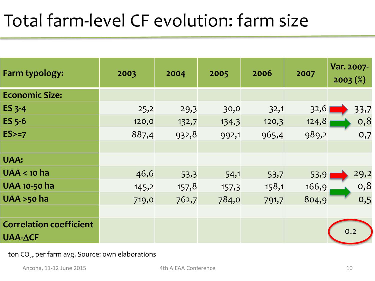#### Total farm-level CF evolution: farm size

| Farm typology:                 | 2003  | 2004  | 2005  | 2006  | 2007  | Var. 2007-<br>$2003 (\%)$ |
|--------------------------------|-------|-------|-------|-------|-------|---------------------------|
| <b>Economic Size:</b>          |       |       |       |       |       |                           |
| ES 3-4                         | 25,2  | 29,3  | 30,0  | 32,1  | 32,6  | 33,7                      |
| <b>ES 5-6</b>                  | 120,0 | 132,7 | 134,3 | 120,3 | 124,8 | 0,8                       |
| $ES>=7$                        | 887,4 | 932,8 | 992,1 | 965,4 | 989,2 | 0,7                       |
|                                |       |       |       |       |       |                           |
| <b>UAA:</b>                    |       |       |       |       |       |                           |
| $UAA < 10$ ha                  | 46,6  | 53,3  | 54,1  | 53,7  | 53,9  | 29,2                      |
| <b>UAA 10-50 ha</b>            | 145,2 | 157,8 | 157,3 | 158,1 | 166,9 | 0,8                       |
| <b>UAA &gt;50 ha</b>           | 719,0 | 762,7 | 784,0 | 791,7 | 804,9 | 0,5                       |
|                                |       |       |       |       |       |                           |
| <b>Correlation coefficient</b> |       |       |       |       |       | 0.2                       |
| $UAA-\Delta CF$                |       |       |       |       |       |                           |

ton  $CO_{2e}$  per farm avg. Source: own elaborations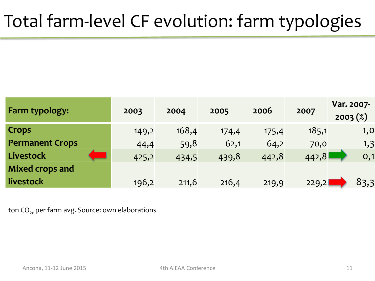## Total farm-level CF evolution: farm typologies

| Farm typology:         | 2003  | 2004  | 2005  | 2006  | 2007  | Var. 2007-<br>$2003 (\%)$ |
|------------------------|-------|-------|-------|-------|-------|---------------------------|
| <b>Crops</b>           | 149,2 | 168,4 | 174,4 | 175,4 | 185,1 | 1,0                       |
| <b>Permanent Crops</b> | 44,4  | 59,8  | 62,1  | 64,2  | 70,0  | 1,3                       |
| Livestock              | 425,2 | 434,5 | 439,8 | 442,8 | 442,8 | 0,1                       |
| <b>Mixed crops and</b> |       |       |       |       |       |                           |
| livestock              | 196,2 | 211,6 | 216,4 | 219,9 | 229,2 | 83,3                      |

ton  $CO_{2e}$  per farm avg. Source: own elaborations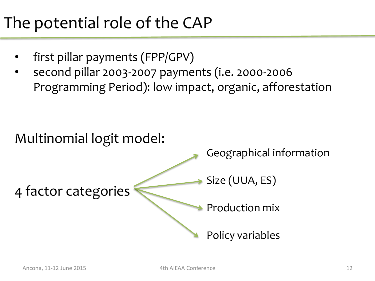#### The potential role of the CAP

- first pillar payments (FPP/GPV)
- second pillar 2003-2007 payments (i.e. 2000-2006 Programming Period): low impact, organic, afforestation

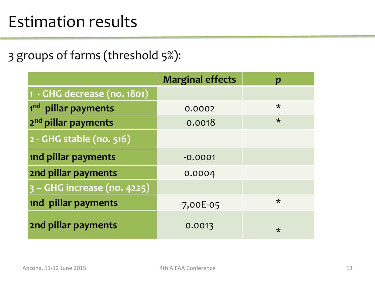#### Estimation results

3 groups of farms (threshold 5%):

|                                 | <b>Marginal effects</b> | D       |
|---------------------------------|-------------------------|---------|
| 1 - GHG decrease (no. 1801)     |                         |         |
| 1 <sup>nd</sup> pillar payments | 0.0002                  | $\star$ |
| 2 <sup>nd</sup> pillar payments | $-0.0018$               | $\star$ |
| 2 - GHG stable (no. 516)        |                         |         |
| <b>1nd pillar payments</b>      | $-0.0001$               |         |
| 2nd pillar payments             | 0.0004                  |         |
| 3 - GHG increase (no. 4225)     |                         |         |
| <b>1nd pillar payments</b>      | $-7,00E-05$             | $\star$ |
| 2nd pillar payments             | 0.0013                  | ∗       |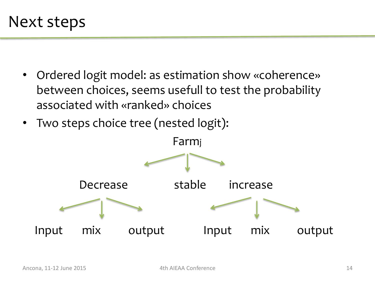- Ordered logit model: as estimation show «coherence» between choices, seems usefull to test the probability associated with «ranked» choices
- Two steps choice tree (nested logit):

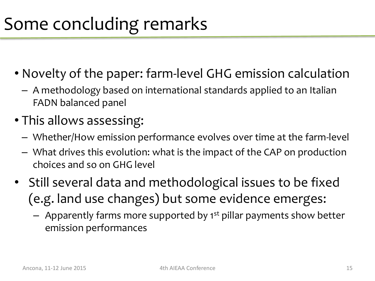#### Some concluding remarks

- Novelty of the paper: farm-level GHG emission calculation
	- A methodology based on international standards applied to an Italian FADN balanced panel
- This allows assessing:
	- Whether/How emission performance evolves over time at the farm-level
	- What drives this evolution: what is the impact of the CAP on production choices and so on GHG level
- Still several data and methodological issues to be fixed (e.g. land use changes) but some evidence emerges:
	- $-$  Apparently farms more supported by 1<sup>st</sup> pillar payments show better emission performances